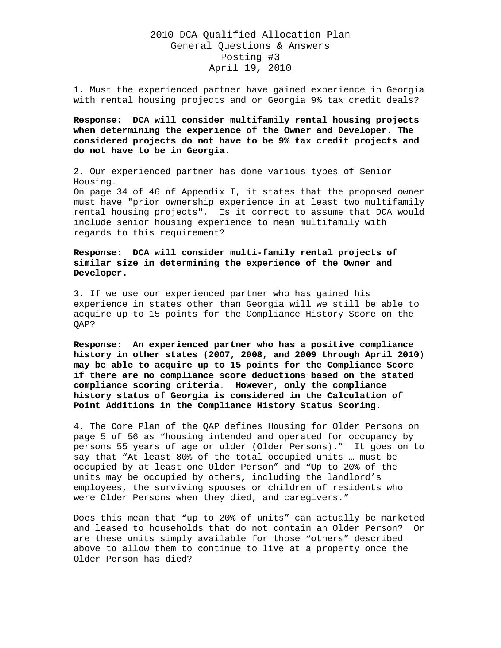# 2010 DCA Qualified Allocation Plan General Questions & Answers Posting #3 April 19, 2010

1. Must the experienced partner have gained experience in Georgia with rental housing projects and or Georgia 9% tax credit deals?

**Response: DCA will consider multifamily rental housing projects when determining the experience of the Owner and Developer. The considered projects do not have to be 9% tax credit projects and do not have to be in Georgia.** 

2. Our experienced partner has done various types of Senior Housing.

On page 34 of 46 of Appendix I, it states that the proposed owner must have "prior ownership experience in at least two multifamily rental housing projects". Is it correct to assume that DCA would include senior housing experience to mean multifamily with regards to this requirement?

### **Response: DCA will consider multi-family rental projects of similar size in determining the experience of the Owner and Developer.**

3. If we use our experienced partner who has gained his experience in states other than Georgia will we still be able to acquire up to 15 points for the Compliance History Score on the QAP?

**Response: An experienced partner who has a positive compliance history in other states (2007, 2008, and 2009 through April 2010) may be able to acquire up to 15 points for the Compliance Score if there are no compliance score deductions based on the stated compliance scoring criteria. However, only the compliance history status of Georgia is considered in the Calculation of Point Additions in the Compliance History Status Scoring.** 

4. The Core Plan of the QAP defines Housing for Older Persons on page 5 of 56 as "housing intended and operated for occupancy by persons 55 years of age or older (Older Persons)." It goes on to say that "At least 80% of the total occupied units … must be occupied by at least one Older Person" and "Up to 20% of the units may be occupied by others, including the landlord's employees, the surviving spouses or children of residents who were Older Persons when they died, and caregivers."

Does this mean that "up to 20% of units" can actually be marketed and leased to households that do not contain an Older Person? Or are these units simply available for those "others" described above to allow them to continue to live at a property once the Older Person has died?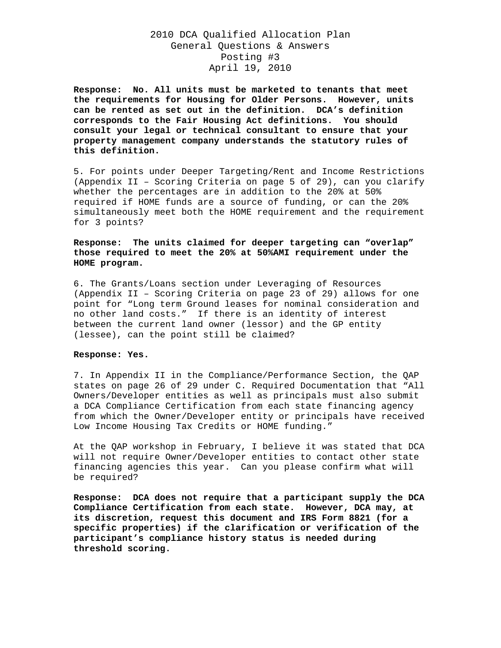# 2010 DCA Qualified Allocation Plan General Questions & Answers Posting #3 April 19, 2010

**Response: No. All units must be marketed to tenants that meet the requirements for Housing for Older Persons. However, units can be rented as set out in the definition. DCA's definition corresponds to the Fair Housing Act definitions. You should consult your legal or technical consultant to ensure that your property management company understands the statutory rules of this definition.** 

5. For points under Deeper Targeting/Rent and Income Restrictions (Appendix II – Scoring Criteria on page 5 of 29), can you clarify whether the percentages are in addition to the 20% at 50% required if HOME funds are a source of funding, or can the 20% simultaneously meet both the HOME requirement and the requirement for 3 points?

### **Response: The units claimed for deeper targeting can "overlap" those required to meet the 20% at 50%AMI requirement under the HOME program.**

6. The Grants/Loans section under Leveraging of Resources (Appendix II – Scoring Criteria on page 23 of 29) allows for one point for "Long term Ground leases for nominal consideration and no other land costs." If there is an identity of interest between the current land owner (lessor) and the GP entity (lessee), can the point still be claimed?

#### **Response: Yes.**

7. In Appendix II in the Compliance/Performance Section, the QAP states on page 26 of 29 under C. Required Documentation that "All Owners/Developer entities as well as principals must also submit a DCA Compliance Certification from each state financing agency from which the Owner/Developer entity or principals have received Low Income Housing Tax Credits or HOME funding."

At the QAP workshop in February, I believe it was stated that DCA will not require Owner/Developer entities to contact other state financing agencies this year. Can you please confirm what will be required?

**Response: DCA does not require that a participant supply the DCA Compliance Certification from each state. However, DCA may, at its discretion, request this document and IRS Form 8821 (for a specific properties) if the clarification or verification of the participant's compliance history status is needed during threshold scoring.**